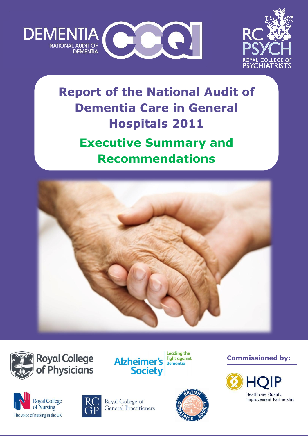



# **Report of the National Audit of Dementia Care in General Hospitals 2011 Executive Summary and Recommendations**









**Commissioned by:** 







Royal College of General Practitioners

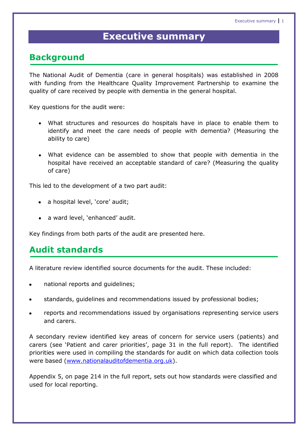# **Executive summary**

# **Background**

The National Audit of Dementia (care in general hospitals) was established in 2008 with funding from the Healthcare Quality Improvement Partnership to examine the quality of care received by people with dementia in the general hospital.

Key questions for the audit were:

- What structures and resources do hospitals have in place to enable them to identify and meet the care needs of people with dementia? (Measuring the ability to care)
- What evidence can be assembled to show that people with dementia in the hospital have received an acceptable standard of care? (Measuring the quality of care)

This led to the development of a two part audit:

- a hospital level, 'core' audit;
- a ward level, 'enhanced' audit.

Key findings from both parts of the audit are presented here.

# **Audit standards**

A literature review identified source documents for the audit. These included:

- national reports and guidelines;  $\bullet$
- standards, guidelines and recommendations issued by professional bodies;
- reports and recommendations issued by organisations representing service users and carers.

A secondary review identified key areas of concern for service users (patients) and carers (see "Patient and carer priorities", page 31 in the full report). The identified priorities were used in compiling the standards for audit on which data collection tools were based [\(www.nationalauditofdementia.org.uk\)](http://www.rcpsych.ac.uk/quality/nationalclinicalaudits/dementia/nationalauditofdementia.aspx).

Appendix 5, on page 214 in the full report, sets out how standards were classified and used for local reporting.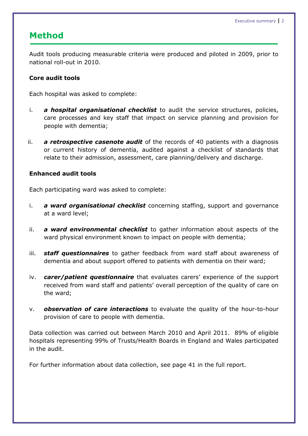# **Method**

Audit tools producing measurable criteria were produced and piloted in 2009, prior to national roll-out in 2010.

#### **Core audit tools**

Each hospital was asked to complete:

- i. *a hospital organisational checklist* to audit the service structures, policies, care processes and key staff that impact on service planning and provision for people with dementia;
- ii. *a retrospective casenote audit* of the records of 40 patients with a diagnosis or current history of dementia, audited against a checklist of standards that relate to their admission, assessment, care planning/delivery and discharge.

#### **Enhanced audit tools**

Each participating ward was asked to complete:

- i. *a ward organisational checklist* concerning staffing, support and governance at a ward level;
- ii. *a ward environmental checklist* to gather information about aspects of the ward physical environment known to impact on people with dementia;
- iii. *staff questionnaires* to gather feedback from ward staff about awareness of dementia and about support offered to patients with dementia on their ward;
- iv. *carer/patient questionnaire* that evaluates carers' experience of the support received from ward staff and patients" overall perception of the quality of care on the ward;
- v. *observation of care interactions* to evaluate the quality of the hour-to-hour provision of care to people with dementia.

Data collection was carried out between March 2010 and April 2011. 89% of eligible hospitals representing 99% of Trusts/Health Boards in England and Wales participated in the audit.

For further information about data collection, see page 41 in the full report.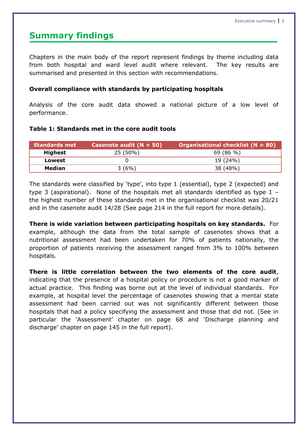#### **Summary findings**

Chapters in the main body of the report represent findings by theme including data from both hospital and ward level audit where relevant. The key results are summarised and presented in this section with recommendations.

#### **Overall compliance with standards by participating hospitals**

Analysis of the core audit data showed a national picture of a low level of performance.

#### **Table 1: Standards met in the core audit tools**

| <b>Standards met</b> | Casenote audit $(N = 50)$ | Organisational checklist ( $N = 80$ ) |
|----------------------|---------------------------|---------------------------------------|
| Highest              | 25 (50%)                  | 69 (86 %)                             |
| Lowest               |                           | 19 (24%)                              |
| <b>Median</b>        | 3(6%)                     | 38 (48%)                              |

The standards were classified by 'type', into type 1 (essential), type 2 (expected) and type 3 (aspirational). None of the hospitals met all standards identified as type 1 – the highest number of these standards met in the organisational checklist was 20/21 and in the casenote audit 14/28 (See page 214 in the full report for more details).

**There is wide variation between participating hospitals on key standards.** For example, although the data from the total sample of casenotes shows that a nutritional assessment had been undertaken for 70% of patients nationally, the proportion of patients receiving the assessment ranged from 3% to 100% between hospitals.

**There is little correlation between the two elements of the core audit**, indicating that the presence of a hospital policy or procedure is not a good marker of actual practice. This finding was borne out at the level of individual standards. For example, at hospital level the percentage of casenotes showing that a mental state assessment had been carried out was not significantly different between those hospitals that had a policy specifying the assessment and those that did not. (See in particular the "Assessment" chapter on page 68 and "Discharge planning and discharge" chapter on page 145 in the full report).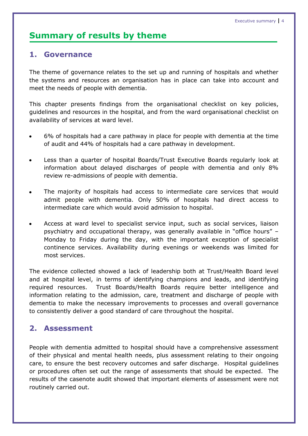### **Summary of results by theme**

#### **1. Governance**

The theme of governance relates to the set up and running of hospitals and whether the systems and resources an organisation has in place can take into account and meet the needs of people with dementia.

This chapter presents findings from the organisational checklist on key policies, guidelines and resources in the hospital, and from the ward organisational checklist on availability of services at ward level.

- 6% of hospitals had a care pathway in place for people with dementia at the time of audit and 44% of hospitals had a care pathway in development.
- Less than a quarter of hospital Boards/Trust Executive Boards regularly look at  $\bullet$ information about delayed discharges of people with dementia and only 8% review re-admissions of people with dementia.
- The majority of hospitals had access to intermediate care services that would  $\bullet$ admit people with dementia. Only 50% of hospitals had direct access to intermediate care which would avoid admission to hospital.
- Access at ward level to specialist service input, such as social services, liaison psychiatry and occupational therapy, was generally available in "office hours" – Monday to Friday during the day, with the important exception of specialist continence services. Availability during evenings or weekends was limited for most services.

The evidence collected showed a lack of leadership both at Trust/Health Board level and at hospital level, in terms of identifying champions and leads, and identifying required resources. Trust Boards/Health Boards require better intelligence and information relating to the admission, care, treatment and discharge of people with dementia to make the necessary improvements to processes and overall governance to consistently deliver a good standard of care throughout the hospital.

#### **2. Assessment**

People with dementia admitted to hospital should have a comprehensive assessment of their physical and mental health needs, plus assessment relating to their ongoing care, to ensure the best recovery outcomes and safer discharge. Hospital guidelines or procedures often set out the range of assessments that should be expected. The results of the casenote audit showed that important elements of assessment were not routinely carried out.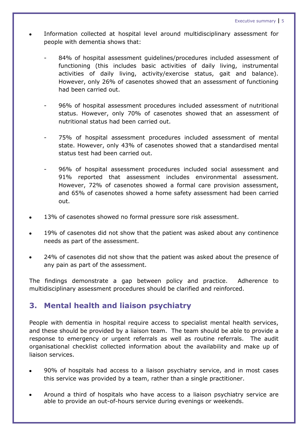- Information collected at hospital level around multidisciplinary assessment for people with dementia shows that:
	- 84% of hospital assessment guidelines/procedures included assessment of functioning (this includes basic activities of daily living, instrumental activities of daily living, activity/exercise status, gait and balance). However, only 26% of casenotes showed that an assessment of functioning had been carried out.
	- 96% of hospital assessment procedures included assessment of nutritional status. However, only 70% of casenotes showed that an assessment of nutritional status had been carried out.
	- 75% of hospital assessment procedures included assessment of mental state. However, only 43% of casenotes showed that a standardised mental status test had been carried out.
	- 96% of hospital assessment procedures included social assessment and 91% reported that assessment includes environmental assessment. However, 72% of casenotes showed a formal care provision assessment, and 65% of casenotes showed a home safety assessment had been carried out.
- 13% of casenotes showed no formal pressure sore risk assessment.
- 19% of casenotes did not show that the patient was asked about any continence needs as part of the assessment.
- 24% of casenotes did not show that the patient was asked about the presence of any pain as part of the assessment.

The findings demonstrate a gap between policy and practice. Adherence to multidisciplinary assessment procedures should be clarified and reinforced.

#### **3. Mental health and liaison psychiatry**

People with dementia in hospital require access to specialist mental health services, and these should be provided by a liaison team. The team should be able to provide a response to emergency or urgent referrals as well as routine referrals. The audit organisational checklist collected information about the availability and make up of liaison services.

- 90% of hospitals had access to a liaison psychiatry service, and in most cases this service was provided by a team, rather than a single practitioner.
- Around a third of hospitals who have access to a liaison psychiatry service are able to provide an out-of-hours service during evenings or weekends.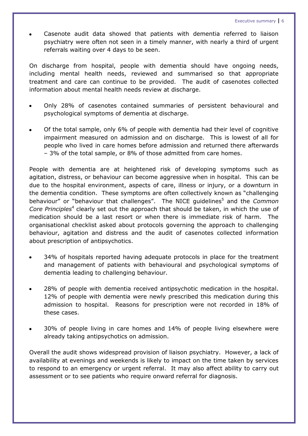Casenote audit data showed that patients with dementia referred to liaison psychiatry were often not seen in a timely manner, with nearly a third of urgent referrals waiting over 4 days to be seen.

On discharge from hospital, people with dementia should have ongoing needs, including mental health needs, reviewed and summarised so that appropriate treatment and care can continue to be provided. The audit of casenotes collected information about mental health needs review at discharge.

- Only 28% of casenotes contained summaries of persistent behavioural and psychological symptoms of dementia at discharge.
- Of the total sample, only 6% of people with dementia had their level of cognitive impairment measured on admission and on discharge. This is lowest of all for people who lived in care homes before admission and returned there afterwards – 3% of the total sample, or 8% of those admitted from care homes.

People with dementia are at heightened risk of developing symptoms such as agitation, distress, or behaviour can become aggressive when in hospital. This can be due to the hospital environment, aspects of care, illness or injury, or a downturn in the dementia condition. These symptoms are often collectively known as "challenging behaviour" or "behaviour that challenges". The NICE guidelines<sup>5</sup> and the *Common* Core Principles<sup>4</sup> clearly set out the approach that should be taken, in which the use of medication should be a last resort or when there is immediate risk of harm. The organisational checklist asked about protocols governing the approach to challenging behaviour, agitation and distress and the audit of casenotes collected information about prescription of antipsychotics.

- 34% of hospitals reported having adequate protocols in place for the treatment and management of patients with behavioural and psychological symptoms of dementia leading to challenging behaviour.
- 28% of people with dementia received antipsychotic medication in the hospital. 12% of people with dementia were newly prescribed this medication during this admission to hospital. Reasons for prescription were not recorded in 18% of these cases.
- 30% of people living in care homes and 14% of people living elsewhere were already taking antipsychotics on admission.

Overall the audit shows widespread provision of liaison psychiatry. However, a lack of availability at evenings and weekends is likely to impact on the time taken by services to respond to an emergency or urgent referral. It may also affect ability to carry out assessment or to see patients who require onward referral for diagnosis.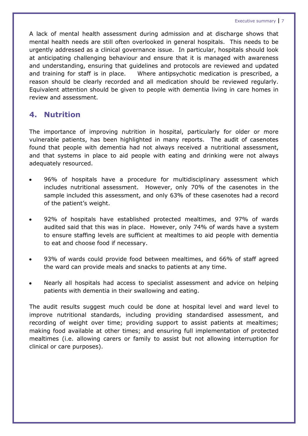Executive summary 7

A lack of mental health assessment during admission and at discharge shows that mental health needs are still often overlooked in general hospitals. This needs to be urgently addressed as a clinical governance issue. In particular, hospitals should look at anticipating challenging behaviour and ensure that it is managed with awareness and understanding, ensuring that guidelines and protocols are reviewed and updated and training for staff is in place. Where antipsychotic medication is prescribed, a reason should be clearly recorded and all medication should be reviewed regularly. Equivalent attention should be given to people with dementia living in care homes in review and assessment.

#### **4. Nutrition**

The importance of improving nutrition in hospital, particularly for older or more vulnerable patients, has been highlighted in many reports. The audit of casenotes found that people with dementia had not always received a nutritional assessment, and that systems in place to aid people with eating and drinking were not always adequately resourced.

- 96% of hospitals have a procedure for multidisciplinary assessment which includes nutritional assessment. However, only 70% of the casenotes in the sample included this assessment, and only 63% of these casenotes had a record of the patient's weight.
- 92% of hospitals have established protected mealtimes, and 97% of wards audited said that this was in place. However, only 74% of wards have a system to ensure staffing levels are sufficient at mealtimes to aid people with dementia to eat and choose food if necessary.
- 93% of wards could provide food between mealtimes, and 66% of staff agreed the ward can provide meals and snacks to patients at any time.
- Nearly all hospitals had access to specialist assessment and advice on helping patients with dementia in their swallowing and eating.

The audit results suggest much could be done at hospital level and ward level to improve nutritional standards, including providing standardised assessment, and recording of weight over time; providing support to assist patients at mealtimes; making food available at other times; and ensuring full implementation of protected mealtimes (i.e. allowing carers or family to assist but not allowing interruption for clinical or care purposes).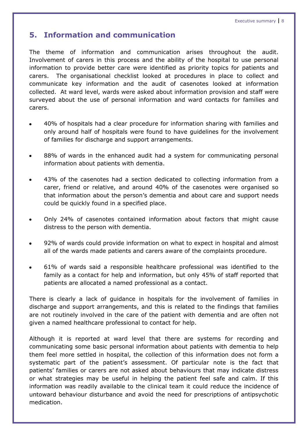#### **5. Information and communication**

The theme of information and communication arises throughout the audit. Involvement of carers in this process and the ability of the hospital to use personal information to provide better care were identified as priority topics for patients and carers. The organisational checklist looked at procedures in place to collect and communicate key information and the audit of casenotes looked at information collected. At ward level, wards were asked about information provision and staff were surveyed about the use of personal information and ward contacts for families and carers.

- 40% of hospitals had a clear procedure for information sharing with families and only around half of hospitals were found to have guidelines for the involvement of families for discharge and support arrangements.
- 88% of wards in the enhanced audit had a system for communicating personal  $\bullet$ information about patients with dementia.
- 43% of the casenotes had a section dedicated to collecting information from a carer, friend or relative, and around 40% of the casenotes were organised so that information about the person"s dementia and about care and support needs could be quickly found in a specified place.
- Only 24% of casenotes contained information about factors that might cause  $\bullet$ distress to the person with dementia.
- 92% of wards could provide information on what to expect in hospital and almost all of the wards made patients and carers aware of the complaints procedure.
- 61% of wards said a responsible healthcare professional was identified to the family as a contact for help and information, but only 45% of staff reported that patients are allocated a named professional as a contact.

There is clearly a lack of guidance in hospitals for the involvement of families in discharge and support arrangements, and this is related to the findings that families are not routinely involved in the care of the patient with dementia and are often not given a named healthcare professional to contact for help.

Although it is reported at ward level that there are systems for recording and communicating some basic personal information about patients with dementia to help them feel more settled in hospital, the collection of this information does not form a systematic part of the patient's assessment. Of particular note is the fact that patients' families or carers are not asked about behaviours that may indicate distress or what strategies may be useful in helping the patient feel safe and calm. If this information was readily available to the clinical team it could reduce the incidence of untoward behaviour disturbance and avoid the need for prescriptions of antipsychotic medication.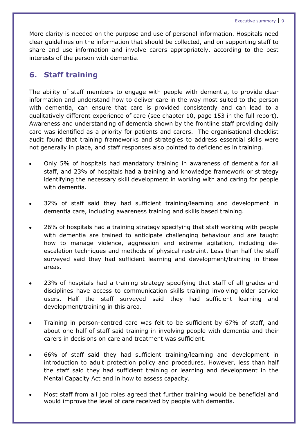More clarity is needed on the purpose and use of personal information. Hospitals need clear guidelines on the information that should be collected, and on supporting staff to share and use information and involve carers appropriately, according to the best interests of the person with dementia.

#### **6. Staff training**

The ability of staff members to engage with people with dementia, to provide clear information and understand how to deliver care in the way most suited to the person with dementia, can ensure that care is provided consistently and can lead to a qualitatively different experience of care (see chapter 10, page 153 in the full report). Awareness and understanding of dementia shown by the frontline staff providing daily care was identified as a priority for patients and carers. The organisational checklist audit found that training frameworks and strategies to address essential skills were not generally in place, and staff responses also pointed to deficiencies in training.

- Only 5% of hospitals had mandatory training in awareness of dementia for all staff, and 23% of hospitals had a training and knowledge framework or strategy identifying the necessary skill development in working with and caring for people with dementia.
- 32% of staff said they had sufficient training/learning and development in dementia care, including awareness training and skills based training.
- 26% of hospitals had a training strategy specifying that staff working with people with dementia are trained to anticipate challenging behaviour and are taught how to manage violence, aggression and extreme agitation, including deescalation techniques and methods of physical restraint. Less than half the staff surveyed said they had sufficient learning and development/training in these areas.
- 23% of hospitals had a training strategy specifying that staff of all grades and disciplines have access to communication skills training involving older service users. Half the staff surveyed said they had sufficient learning and development/training in this area.
- Training in person-centred care was felt to be sufficient by 67% of staff, and  $\bullet$ about one half of staff said training in involving people with dementia and their carers in decisions on care and treatment was sufficient.
- 66% of staff said they had sufficient training/learning and development in introduction to adult protection policy and procedures. However, less than half the staff said they had sufficient training or learning and development in the Mental Capacity Act and in how to assess capacity.
- Most staff from all job roles agreed that further training would be beneficial and would improve the level of care received by people with dementia.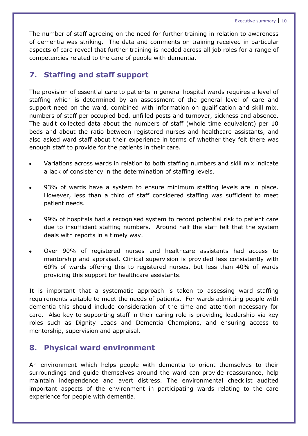The number of staff agreeing on the need for further training in relation to awareness of dementia was striking. The data and comments on training received in particular aspects of care reveal that further training is needed across all job roles for a range of competencies related to the care of people with dementia.

#### **7. Staffing and staff support**

The provision of essential care to patients in general hospital wards requires a level of staffing which is determined by an assessment of the general level of care and support need on the ward, combined with information on qualification and skill mix, numbers of staff per occupied bed, unfilled posts and turnover, sickness and absence. The audit collected data about the numbers of staff (whole time equivalent) per 10 beds and about the ratio between registered nurses and healthcare assistants, and also asked ward staff about their experience in terms of whether they felt there was enough staff to provide for the patients in their care.

- Variations across wards in relation to both staffing numbers and skill mix indicate a lack of consistency in the determination of staffing levels.
- 93% of wards have a system to ensure minimum staffing levels are in place. However, less than a third of staff considered staffing was sufficient to meet patient needs.
- 99% of hospitals had a recognised system to record potential risk to patient care due to insufficient staffing numbers. Around half the staff felt that the system deals with reports in a timely way.
- Over 90% of registered nurses and healthcare assistants had access to mentorship and appraisal. Clinical supervision is provided less consistently with 60% of wards offering this to registered nurses, but less than 40% of wards providing this support for healthcare assistants.

It is important that a systematic approach is taken to assessing ward staffing requirements suitable to meet the needs of patients. For wards admitting people with dementia this should include consideration of the time and attention necessary for care. Also key to supporting staff in their caring role is providing leadership via key roles such as Dignity Leads and Dementia Champions, and ensuring access to mentorship, supervision and appraisal.

#### **8. Physical ward environment**

An environment which helps people with dementia to orient themselves to their surroundings and guide themselves around the ward can provide reassurance, help maintain independence and avert distress. The environmental checklist audited important aspects of the environment in participating wards relating to the care experience for people with dementia.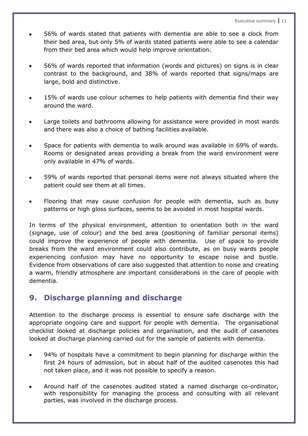- 56% of wards stated that patients with dementia are able to see a clock from their bed area, but only 5% of wards stated patients were able to see a calendar from their bed area which would help improve orientation.
- 56% of wards reported that information (words and pictures) on signs is in clear contrast to the background, and 38% of wards reported that signs/maps are large, bold and distinctive.
- 15% of wards use colour schemes to help patients with dementia find their way around the ward.
- Large toilets and bathrooms allowing for assistance were provided in most wards and there was also a choice of bathing facilities available.
- Space for patients with dementia to walk around was available in 69% of wards. Rooms or designated areas providing a break from the ward environment were only available in 47% of wards.
- 59% of wards reported that personal items were not always situated where the patient could see them at all times.
- Flooring that may cause confusion for people with dementia, such as busy patterns or high gloss surfaces, seems to be avoided in most hospital wards.

In terms of the physical environment, attention to orientation both in the ward (signage, use of colour) and the bed area (positioning of familiar personal items) could improve the experience of people with dementia. Use of space to provide breaks from the ward environment could also contribute, as on busy wards people experiencing confusion may have no opportunity to escape noise and bustle. Evidence from observations of care also suggested that attention to noise and creating a warm, friendly atmosphere are important considerations in the care of people with dementia.

#### **9. Discharge planning and discharge**

Attention to the discharge process is essential to ensure safe discharge with the appropriate ongoing care and support for people with dementia. The organisational checklist looked at discharge policies and organisation, and the audit of casenotes looked at discharge planning carried out for the sample of patients with dementia.

- 94% of hospitals have a commitment to begin planning for discharge within the first 24 hours of admission, but in about half of the audited casenotes this had not taken place, and it was not possible to specify a reason.
- Around half of the casenotes audited stated a named discharge co-ordinator, with responsibility for managing the process and consulting with all relevant parties, was involved in the discharge process.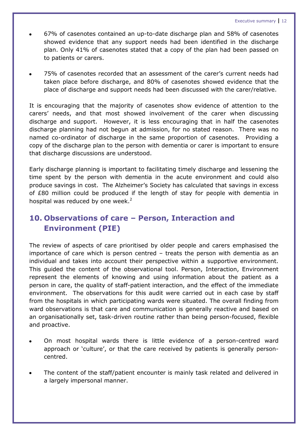- 67% of casenotes contained an up-to-date discharge plan and 58% of casenotes showed evidence that any support needs had been identified in the discharge plan. Only 41% of casenotes stated that a copy of the plan had been passed on to patients or carers.
- 75% of casenotes recorded that an assessment of the carer"s current needs had taken place before discharge, and 80% of casenotes showed evidence that the place of discharge and support needs had been discussed with the carer/relative.

It is encouraging that the majority of casenotes show evidence of attention to the carers" needs, and that most showed involvement of the carer when discussing discharge and support. However, it is less encouraging that in half the casenotes discharge planning had not begun at admission, for no stated reason. There was no named co-ordinator of discharge in the same proportion of casenotes. Providing a copy of the discharge plan to the person with dementia or carer is important to ensure that discharge discussions are understood.

Early discharge planning is important to facilitating timely discharge and lessening the time spent by the person with dementia in the acute environment and could also produce savings in cost. The Alzheimer"s Society has calculated that savings in excess of £80 million could be produced if the length of stay for people with dementia in hospital was reduced by one week. $2$ 

# **10. Observations of care – Person, Interaction and Environment (PIE)**

The review of aspects of care prioritised by older people and carers emphasised the importance of care which is person centred – treats the person with dementia as an individual and takes into account their perspective within a supportive environment. This guided the content of the observational tool. Person, Interaction, Environment represent the elements of knowing and using information about the patient as a person in care, the quality of staff-patient interaction, and the effect of the immediate environment. The observations for this audit were carried out in each case by staff from the hospitals in which participating wards were situated. The overall finding from ward observations is that care and communication is generally reactive and based on an organisationally set, task-driven routine rather than being person-focused, flexible and proactive.

- On most hospital wards there is little evidence of a person-centred ward approach or "culture", or that the care received by patients is generally personcentred.
- The content of the staff/patient encounter is mainly task related and delivered in a largely impersonal manner.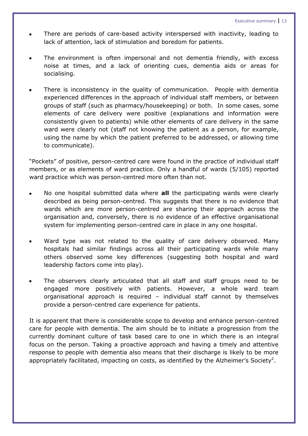- There are periods of care-based activity interspersed with inactivity, leading to lack of attention, lack of stimulation and boredom for patients.
- The environment is often impersonal and not dementia friendly, with excess noise at times, and a lack of orienting cues, dementia aids or areas for socialising.
- There is inconsistency in the quality of communication. People with dementia experienced differences in the approach of individual staff members, or between groups of staff (such as pharmacy/housekeeping) or both. In some cases, some elements of care delivery were positive (explanations and information were consistently given to patients) while other elements of care delivery in the same ward were clearly not (staff not knowing the patient as a person, for example, using the name by which the patient preferred to be addressed, or allowing time to communicate).

"Pockets" of positive, person-centred care were found in the practice of individual staff members, or as elements of ward practice. Only a handful of wards (5/105) reported ward practice which was person-centred more often than not.

- No one hospital submitted data where **all** the participating wards were clearly described as being person-centred. This suggests that there is no evidence that wards which are more person-centred are sharing their approach across the organisation and, conversely, there is no evidence of an effective organisational system for implementing person-centred care in place in any one hospital.
- Ward type was not related to the quality of care delivery observed. Many hospitals had similar findings across all their participating wards while many others observed some key differences (suggesting both hospital and ward leadership factors come into play).
- The observers clearly articulated that all staff and staff groups need to be engaged more positively with patients. However, a whole ward team organisational approach is required – individual staff cannot by themselves provide a person-centred care experience for patients.

It is apparent that there is considerable scope to develop and enhance person-centred care for people with dementia. The aim should be to initiate a progression from the currently dominant culture of task based care to one in which there is an integral focus on the person. Taking a proactive approach and having a timely and attentive response to people with dementia also means that their discharge is likely to be more appropriately facilitated, impacting on costs, as identified by the Alzheimer's Society<sup>2</sup>.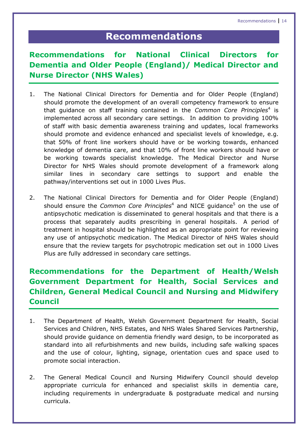# **Recommendations**

# **Recommendations for National Clinical Directors for Dementia and Older People (England)/ Medical Director and Nurse Director (NHS Wales)**

- 1. The National Clinical Directors for Dementia and for Older People (England) should promote the development of an overall competency framework to ensure that guidance on staff training contained in the *Common Core Principles*<sup>4</sup> is implemented across all secondary care settings. In addition to providing 100% of staff with basic dementia awareness training and updates, local frameworks should promote and evidence enhanced and specialist levels of knowledge, e.g. that 50% of front line workers should have or be working towards, enhanced knowledge of dementia care, and that 10% of front line workers should have or be working towards specialist knowledge. The Medical Director and Nurse Director for NHS Wales should promote development of a framework along similar lines in secondary care settings to support and enable the pathway/interventions set out in 1000 Lives Plus.
- 2. The National Clinical Directors for Dementia and for Older People (England) should ensure the *Common Core Principles*<sup>4</sup> and NICE guidance<sup>5</sup> on the use of antipsychotic medication is disseminated to general hospitals and that there is a process that separately audits prescribing in general hospitals. A period of treatment in hospital should be highlighted as an appropriate point for reviewing any use of antipsychotic medication. The Medical Director of NHS Wales should ensure that the review targets for psychotropic medication set out in 1000 Lives Plus are fully addressed in secondary care settings.

# **Recommendations for the Department of Health/Welsh Government Department for Health, Social Services and Children, General Medical Council and Nursing and Midwifery Council**

- 1. The Department of Health, Welsh Government Department for Health, Social Services and Children, NHS Estates, and NHS Wales Shared Services Partnership, should provide guidance on dementia friendly ward design, to be incorporated as standard into all refurbishments and new builds, including safe walking spaces and the use of colour, lighting, signage, orientation cues and space used to promote social interaction.
- 2. The General Medical Council and Nursing Midwifery Council should develop appropriate curricula for enhanced and specialist skills in dementia care, including requirements in undergraduate & postgraduate medical and nursing curricula.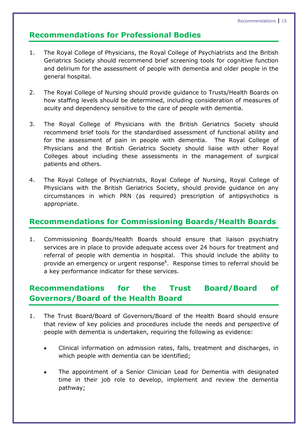#### **Recommendations for Professional Bodies**

- 1. The Royal College of Physicians, the Royal College of Psychiatrists and the British Geriatrics Society should recommend brief screening tools for cognitive function and delirium for the assessment of people with dementia and older people in the general hospital.
- 2. The Royal College of Nursing should provide guidance to Trusts/Health Boards on how staffing levels should be determined, including consideration of measures of acuity and dependency sensitive to the care of people with dementia.
- 3. The Royal College of Physicians with the British Geriatrics Society should recommend brief tools for the standardised assessment of functional ability and for the assessment of pain in people with dementia. The Royal College of Physicians and the British Geriatrics Society should liaise with other Royal Colleges about including these assessments in the management of surgical patients and others.
- 4. The Royal College of Psychiatrists, Royal College of Nursing, Royal College of Physicians with the British Geriatrics Society, should provide guidance on any circumstances in which PRN (as required) prescription of antipsychotics is appropriate.

#### **Recommendations for Commissioning Boards/Health Boards**

1. Commissioning Boards/Health Boards should ensure that liaison psychiatry services are in place to provide adequate access over 24 hours for treatment and referral of people with dementia in hospital. This should include the ability to provide an emergency or urgent response<sup>6</sup>. Response times to referral should be a key performance indicator for these services.

## **Recommendations for the Trust Board/Board of Governors/Board of the Health Board**

- 1. The Trust Board/Board of Governors/Board of the Health Board should ensure that review of key policies and procedures include the needs and perspective of people with dementia is undertaken, requiring the following as evidence:
	- Clinical information on admission rates, falls, treatment and discharges, in which people with dementia can be identified;
	- The appointment of a Senior Clinician Lead for Dementia with designated time in their job role to develop, implement and review the dementia pathway;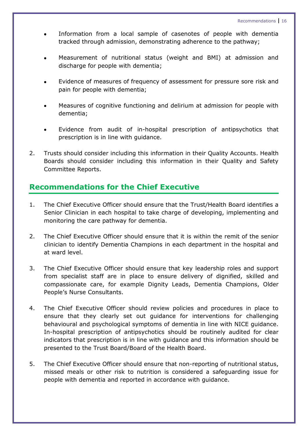- Information from a local sample of casenotes of people with dementia tracked through admission, demonstrating adherence to the pathway;
- Measurement of nutritional status (weight and BMI) at admission and discharge for people with dementia;
- Evidence of measures of frequency of assessment for pressure sore risk and pain for people with dementia;
- Measures of cognitive functioning and delirium at admission for people with dementia;
- Evidence from audit of in-hospital prescription of antipsychotics that prescription is in line with guidance.
- 2. Trusts should consider including this information in their Quality Accounts. Health Boards should consider including this information in their Quality and Safety Committee Reports.

#### **Recommendations for the Chief Executive**

- 1. The Chief Executive Officer should ensure that the Trust/Health Board identifies a Senior Clinician in each hospital to take charge of developing, implementing and monitoring the care pathway for dementia.
- 2. The Chief Executive Officer should ensure that it is within the remit of the senior clinician to identify Dementia Champions in each department in the hospital and at ward level.
- 3. The Chief Executive Officer should ensure that key leadership roles and support from specialist staff are in place to ensure delivery of dignified, skilled and compassionate care, for example Dignity Leads, Dementia Champions, Older People"s Nurse Consultants.
- 4. The Chief Executive Officer should review policies and procedures in place to ensure that they clearly set out guidance for interventions for challenging behavioural and psychological symptoms of dementia in line with NICE guidance. In-hospital prescription of antipsychotics should be routinely audited for clear indicators that prescription is in line with guidance and this information should be presented to the Trust Board/Board of the Health Board.
- 5. The Chief Executive Officer should ensure that non-reporting of nutritional status, missed meals or other risk to nutrition is considered a safeguarding issue for people with dementia and reported in accordance with guidance.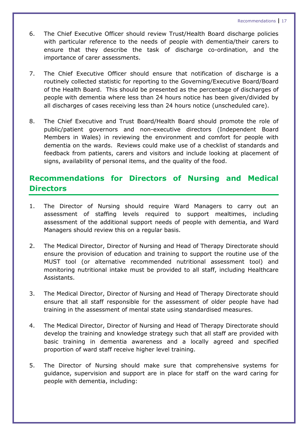- 6. The Chief Executive Officer should review Trust/Health Board discharge policies with particular reference to the needs of people with dementia/their carers to ensure that they describe the task of discharge co-ordination, and the importance of carer assessments.
- 7. The Chief Executive Officer should ensure that notification of discharge is a routinely collected statistic for reporting to the Governing/Executive Board/Board of the Health Board. This should be presented as the percentage of discharges of people with dementia where less than 24 hours notice has been given/divided by all discharges of cases receiving less than 24 hours notice (unscheduled care).
- 8. The Chief Executive and Trust Board/Health Board should promote the role of public/patient governors and non-executive directors (Independent Board Members in Wales) in reviewing the environment and comfort for people with dementia on the wards. Reviews could make use of a checklist of standards and feedback from patients, carers and visitors and include looking at placement of signs, availability of personal items, and the quality of the food.

## **Recommendations for Directors of Nursing and Medical Directors**

- 1. The Director of Nursing should require Ward Managers to carry out an assessment of staffing levels required to support mealtimes, including assessment of the additional support needs of people with dementia, and Ward Managers should review this on a regular basis.
- 2. The Medical Director, Director of Nursing and Head of Therapy Directorate should ensure the provision of education and training to support the routine use of the MUST tool (or alternative recommended nutritional assessment tool) and monitoring nutritional intake must be provided to all staff, including Healthcare Assistants.
- 3. The Medical Director, Director of Nursing and Head of Therapy Directorate should ensure that all staff responsible for the assessment of older people have had training in the assessment of mental state using standardised measures.
- 4. The Medical Director, Director of Nursing and Head of Therapy Directorate should develop the training and knowledge strategy such that all staff are provided with basic training in dementia awareness and a locally agreed and specified proportion of ward staff receive higher level training.
- 5. The Director of Nursing should make sure that comprehensive systems for guidance, supervision and support are in place for staff on the ward caring for people with dementia, including: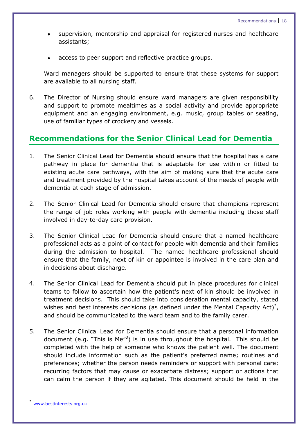- supervision, mentorship and appraisal for registered nurses and healthcare assistants;
- access to peer support and reflective practice groups.

Ward managers should be supported to ensure that these systems for support are available to all nursing staff.

6. The Director of Nursing should ensure ward managers are given responsibility and support to promote mealtimes as a social activity and provide appropriate equipment and an engaging environment, e.g. music, group tables or seating, use of familiar types of crockery and vessels.

#### **Recommendations for the Senior Clinical Lead for Dementia**

- 1. The Senior Clinical Lead for Dementia should ensure that the hospital has a care pathway in place for dementia that is adaptable for use within or fitted to existing acute care pathways, with the aim of making sure that the acute care and treatment provided by the hospital takes account of the needs of people with dementia at each stage of admission.
- 2. The Senior Clinical Lead for Dementia should ensure that champions represent the range of job roles working with people with dementia including those staff involved in day-to-day care provision.
- 3. The Senior Clinical Lead for Dementia should ensure that a named healthcare professional acts as a point of contact for people with dementia and their families during the admission to hospital. The named healthcare professional should ensure that the family, next of kin or appointee is involved in the care plan and in decisions about discharge.
- 4. The Senior Clinical Lead for Dementia should put in place procedures for clinical teams to follow to ascertain how the patient"s next of kin should be involved in treatment decisions. This should take into consideration mental capacity, stated wishes and best interests decisions (as defined under the Mental Capacity Act) $^*$ , and should be communicated to the ward team and to the family carer.
- 5. The Senior Clinical Lead for Dementia should ensure that a personal information document (e.g. "This is Me"<sup>3</sup>) is in use throughout the hospital. This should be completed with the help of someone who knows the patient well. The document should include information such as the patient's preferred name; routines and preferences; whether the person needs reminders or support with personal care; recurring factors that may cause or exacerbate distress; support or actions that can calm the person if they are agitated. This document should be held in the

 $\overline{a}$ 

<sup>\*</sup> [www.bestinterests.org.uk](http://www.bestinterests.org.uk/)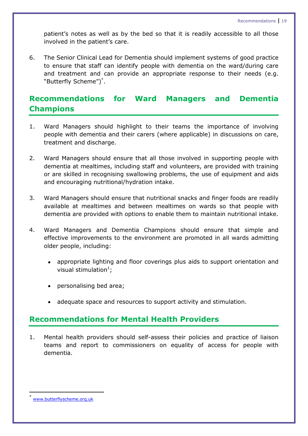patient's notes as well as by the bed so that it is readily accessible to all those involved in the patient's care.

6. The Senior Clinical Lead for Dementia should implement systems of good practice to ensure that staff can identify people with dementia on the ward/during care and treatment and can provide an appropriate response to their needs (e.g. "Butterfly Scheme")\* .

#### **Recommendations for Ward Managers and Dementia Champions**

- 1. Ward Managers should highlight to their teams the importance of involving people with dementia and their carers (where applicable) in discussions on care, treatment and discharge.
- 2. Ward Managers should ensure that all those involved in supporting people with dementia at mealtimes, including staff and volunteers, are provided with training or are skilled in recognising swallowing problems, the use of equipment and aids and encouraging nutritional/hydration intake.
- 3. Ward Managers should ensure that nutritional snacks and finger foods are readily available at mealtimes and between mealtimes on wards so that people with dementia are provided with options to enable them to maintain nutritional intake.
- 4. Ward Managers and Dementia Champions should ensure that simple and effective improvements to the environment are promoted in all wards admitting older people, including:
	- appropriate lighting and floor coverings plus aids to support orientation and visual stimulation $<sup>1</sup>$ ;</sup>
	- personalising bed area;
	- adequate space and resources to support activity and stimulation.

#### **Recommendations for Mental Health Providers**

1. Mental health providers should self-assess their policies and practice of liaison teams and report to commissioners on equality of access for people with dementia.

**.** 

<sup>\*</sup> [www.butterflyscheme.org.uk](http://www.butterflyscheme.org.uk/)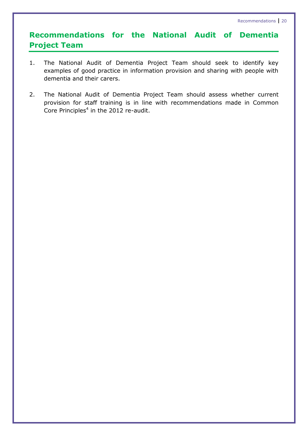# **Recommendations for the National Audit of Dementia Project Team**

- 1. The National Audit of Dementia Project Team should seek to identify key examples of good practice in information provision and sharing with people with dementia and their carers.
- 2. The National Audit of Dementia Project Team should assess whether current provision for staff training is in line with recommendations made in Common Core Principles $4$  in the 2012 re-audit.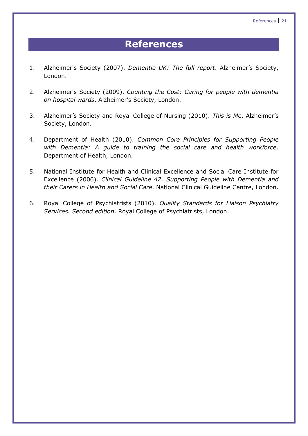# **References**

- 1. Alzheimer's Society (2007). *Dementia UK: The full report*. Alzheimer"s Society, London.
- 2. Alzheimer's Society (2009). *Counting the Cost: Caring for people with dementia on hospital wards*. Alzheimer"s Society, London.
- 3. Alzheimer"s Society and Royal College of Nursing (2010). *This is Me*. Alzheimer"s Society, London.
- 4. Department of Health (2010). *Common Core Principles for Supporting People with Dementia: A guide to training the social care and health workforce*. Department of Health, London.
- 5. National Institute for Health and Clinical Excellence and Social Care Institute for Excellence (2006). *Clinical Guideline 42. Supporting People with Dementia and their Carers in Health and Social Care*. National Clinical Guideline Centre, London.
- 6. Royal College of Psychiatrists (2010). *Quality Standards for Liaison Psychiatry Services. Second edition*. Royal College of Psychiatrists, London.